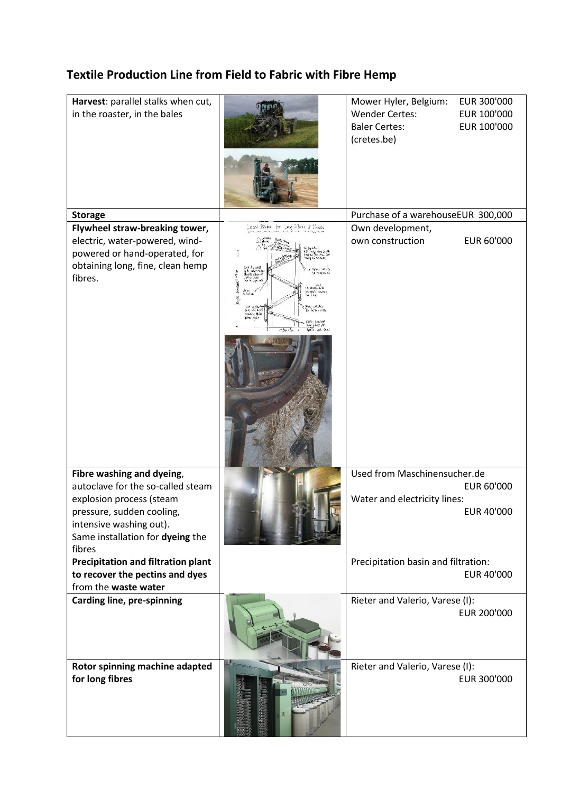## **Textile Production Line from Field to Fabric with Fibre Hemp**

| Harvest: parallel stalks when cut,<br>in the roaster, in the bales                                                                                                                               |                                                                                                                                                                                                                                                                                                                                               | Mower Hyler, Belgium:<br>EUR 300'000<br><b>Wender Certes:</b><br>EUR 100'000<br><b>Baler Certes:</b><br>EUR 100'000<br>(cretes.be) |  |
|--------------------------------------------------------------------------------------------------------------------------------------------------------------------------------------------------|-----------------------------------------------------------------------------------------------------------------------------------------------------------------------------------------------------------------------------------------------------------------------------------------------------------------------------------------------|------------------------------------------------------------------------------------------------------------------------------------|--|
| <b>Storage</b>                                                                                                                                                                                   |                                                                                                                                                                                                                                                                                                                                               | Purchase of a warehouseEUR 300,000                                                                                                 |  |
| Flywheel straw-breaking tower,<br>electric, water-powered, wind-<br>powered or hand-operated, for<br>obtaining long, fine, clean hemp<br>fibres.                                                 | Local Device for Long Fibres & Shiver<br>ro shirika coharak<br>Tar hakuperak<br>semplex 0-7 h<br>tsk <u>Vande</u> ziellik<br>by menti vandeke<br>Hue Airbel<br>$\frac{\partial \phi(\theta)}{\partial \theta}$<br><b>Rish</b><br>silichce<br>hemarche<br>est Courad<br>low fibres for<br>Leastle lase cans<br>$\sim$ 3 km $\rightarrow$ 3 km. | Own development,<br>EUR 60'000<br>own construction                                                                                 |  |
| Fibre washing and dyeing,<br>autoclave for the so-called steam<br>explosion process (steam<br>pressure, sudden cooling,<br>intensive washing out).<br>Same installation for dyeing the<br>fibres |                                                                                                                                                                                                                                                                                                                                               | Used from Maschinensucher.de<br>EUR 60'000<br>Water and electricity lines:<br>EUR 40'000                                           |  |
| Precipitation and filtration plant<br>to recover the pectins and dyes<br>from the waste water                                                                                                    |                                                                                                                                                                                                                                                                                                                                               | Precipitation basin and filtration:<br>EUR 40'000                                                                                  |  |
| <b>Carding line, pre-spinning</b>                                                                                                                                                                |                                                                                                                                                                                                                                                                                                                                               | Rieter and Valerio, Varese (I):<br>EUR 200'000                                                                                     |  |
| Rotor spinning machine adapted<br>for long fibres                                                                                                                                                |                                                                                                                                                                                                                                                                                                                                               | Rieter and Valerio, Varese (I):<br>EUR 300'000                                                                                     |  |